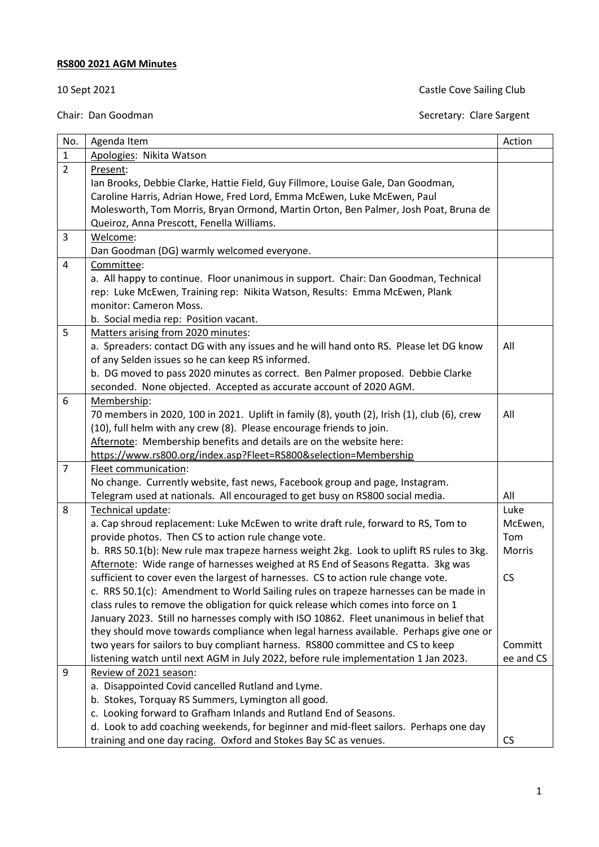## **RS800 2021 AGM Minutes**

## 10 Sept 2021 **Castle Cove Sailing Club**

| No.            | Agenda Item                                                                                 | Action        |  |  |  |
|----------------|---------------------------------------------------------------------------------------------|---------------|--|--|--|
| $\mathbf{1}$   | Apologies: Nikita Watson                                                                    |               |  |  |  |
| $\overline{2}$ | Present:                                                                                    |               |  |  |  |
|                | Ian Brooks, Debbie Clarke, Hattie Field, Guy Fillmore, Louise Gale, Dan Goodman,            |               |  |  |  |
|                | Caroline Harris, Adrian Howe, Fred Lord, Emma McEwen, Luke McEwen, Paul                     |               |  |  |  |
|                | Molesworth, Tom Morris, Bryan Ormond, Martin Orton, Ben Palmer, Josh Poat, Bruna de         |               |  |  |  |
|                | Queiroz, Anna Prescott, Fenella Williams.                                                   |               |  |  |  |
| 3              | Welcome:                                                                                    |               |  |  |  |
|                | Dan Goodman (DG) warmly welcomed everyone.                                                  |               |  |  |  |
| $\overline{4}$ | Committee:                                                                                  |               |  |  |  |
|                | a. All happy to continue. Floor unanimous in support. Chair: Dan Goodman, Technical         |               |  |  |  |
|                | rep: Luke McEwen, Training rep: Nikita Watson, Results: Emma McEwen, Plank                  |               |  |  |  |
|                | monitor: Cameron Moss.                                                                      |               |  |  |  |
|                | b. Social media rep: Position vacant.                                                       |               |  |  |  |
| 5              | Matters arising from 2020 minutes:                                                          |               |  |  |  |
|                | a. Spreaders: contact DG with any issues and he will hand onto RS. Please let DG know       | All           |  |  |  |
|                | of any Selden issues so he can keep RS informed.                                            |               |  |  |  |
|                | b. DG moved to pass 2020 minutes as correct. Ben Palmer proposed. Debbie Clarke             |               |  |  |  |
|                | seconded. None objected. Accepted as accurate account of 2020 AGM.                          |               |  |  |  |
| 6              | Membership:                                                                                 |               |  |  |  |
|                | 70 members in 2020, 100 in 2021. Uplift in family (8), youth (2), Irish (1), club (6), crew | All           |  |  |  |
|                | (10), full helm with any crew (8). Please encourage friends to join.                        |               |  |  |  |
|                | Afternote: Membership benefits and details are on the website here:                         |               |  |  |  |
|                | https://www.rs800.org/index.asp?Fleet=RS800&selection=Membership                            |               |  |  |  |
| $\overline{7}$ | Fleet communication:                                                                        |               |  |  |  |
|                | No change. Currently website, fast news, Facebook group and page, Instagram.                | All           |  |  |  |
|                | Telegram used at nationals. All encouraged to get busy on RS800 social media.               |               |  |  |  |
| 8              | Technical update:                                                                           | Luke          |  |  |  |
|                | a. Cap shroud replacement: Luke McEwen to write draft rule, forward to RS, Tom to           | McEwen,       |  |  |  |
|                | provide photos. Then CS to action rule change vote.                                         | Tom           |  |  |  |
|                | b. RRS 50.1(b): New rule max trapeze harness weight 2kg. Look to uplift RS rules to 3kg.    | <b>Morris</b> |  |  |  |
|                | Afternote: Wide range of harnesses weighed at RS End of Seasons Regatta. 3kg was            |               |  |  |  |
|                | sufficient to cover even the largest of harnesses. CS to action rule change vote.           | <b>CS</b>     |  |  |  |
|                | c. RRS 50.1(c): Amendment to World Sailing rules on trapeze harnesses can be made in        |               |  |  |  |
|                | class rules to remove the obligation for quick release which comes into force on 1          |               |  |  |  |
|                | January 2023. Still no harnesses comply with ISO 10862. Fleet unanimous in belief that      |               |  |  |  |
|                | they should move towards compliance when legal harness available. Perhaps give one or       |               |  |  |  |
|                | two years for sailors to buy compliant harness. RS800 committee and CS to keep              | Committ       |  |  |  |
|                | listening watch until next AGM in July 2022, before rule implementation 1 Jan 2023.         | ee and CS     |  |  |  |
| 9              | Review of 2021 season:                                                                      |               |  |  |  |
|                | a. Disappointed Covid cancelled Rutland and Lyme.                                           |               |  |  |  |
|                | b. Stokes, Torquay RS Summers, Lymington all good.                                          |               |  |  |  |
|                | c. Looking forward to Grafham Inlands and Rutland End of Seasons.                           |               |  |  |  |
|                | d. Look to add coaching weekends, for beginner and mid-fleet sailors. Perhaps one day       |               |  |  |  |
|                | training and one day racing. Oxford and Stokes Bay SC as venues.                            | <b>CS</b>     |  |  |  |